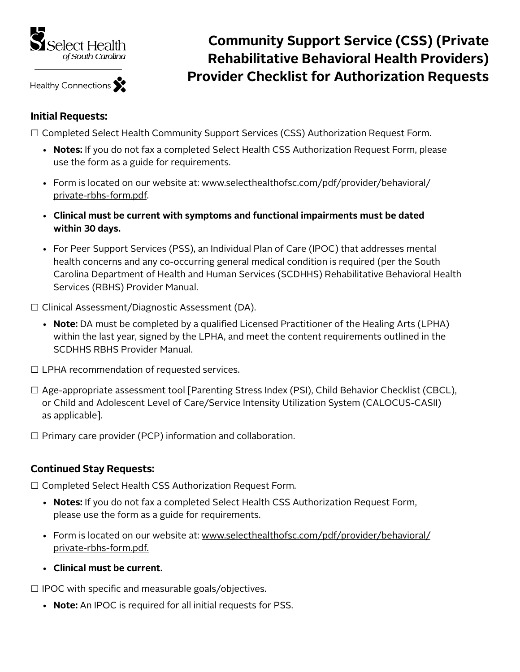

Healthy Connections

## **Community Support Service (CSS) (Private Rehabilitative Behavioral Health Providers) Provider Checklist for Authorization Requests**

## **Initial Requests:**

□ Completed Select Health Community Support Services (CSS) Authorization Request Form.

- **Notes:** If you do not fax a completed Select Health CSS Authorization Request Form, please use the form as a guide for requirements.
- Form is located on our website at: [www.selecthealthofsc.com/pdf/provider/behavioral/](http://www.selecthealthofsc.com/pdf/provider/behavioral/private-rbhs-form.pdf) [private-rbhs-form.pdf.](http://www.selecthealthofsc.com/pdf/provider/behavioral/private-rbhs-form.pdf)
- **Clinical must be current with symptoms and functional impairments must be dated within 30 days.**
- For Peer Support Services (PSS), an Individual Plan of Care (IPOC) that addresses mental health concerns and any co-occurring general medical condition is required (per the South Carolina Department of Health and Human Services (SCDHHS) Rehabilitative Behavioral Health Services (RBHS) Provider Manual.

□ Clinical Assessment/Diagnostic Assessment (DA).

- **Note:** DA must be completed by a qualified Licensed Practitioner of the Healing Arts (LPHA) within the last year, signed by the LPHA, and meet the content requirements outlined in the SCDHHS RBHS Provider Manual.
- $\Box$  LPHA recommendation of requested services.
- □ Age-appropriate assessment tool [Parenting Stress Index (PSI), Child Behavior Checklist (CBCL), or Child and Adolescent Level of Care/Service Intensity Utilization System (CALOCUS-CASII) as applicable].
- $\Box$  Primary care provider (PCP) information and collaboration.

## **Continued Stay Requests:**

□ Completed Select Health CSS Authorization Request Form.

- **Notes:** If you do not fax a completed Select Health CSS Authorization Request Form, please use the form as a guide for requirements.
- Form is located on our website at: [www.selecthealthofsc.com/pdf/provider/behavioral/](http://www.selecthealthofsc.com/pdf/provider/behavioral/private-rbhs-form.pdf) [private-rbhs-form.pdf.](http://www.selecthealthofsc.com/pdf/provider/behavioral/private-rbhs-form.pdf)
- **Clinical must be current.**

 $\Box$  IPOC with specific and measurable goals/objectives.

• **Note:** An IPOC is required for all initial requests for PSS.